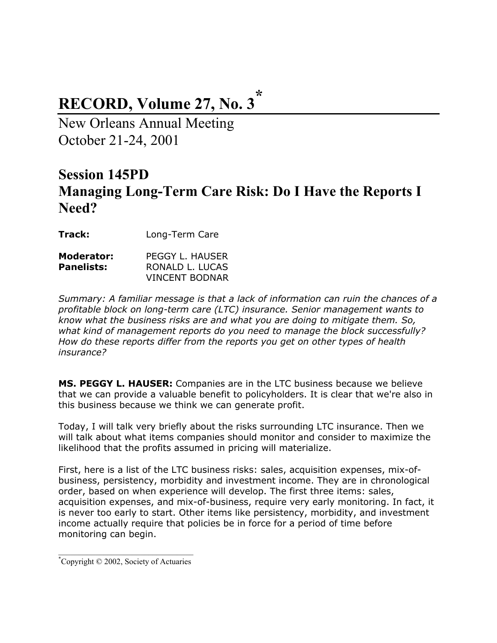# **RECORD, Volume 27, No. 3\***

New Orleans Annual Meeting October 21-24, 2001

## **Session 145PD Managing Long-Term Care Risk: Do I Have the Reports I Need?**

**Track:** Long-Term Care

| Moderator:        | PEGGY L. HAUSER |
|-------------------|-----------------|
| <b>Panelists:</b> | RONALD L. LUCAS |
|                   | VINCENT BODNAR  |

*Summary: A familiar message is that a lack of information can ruin the chances of a profitable block on long-term care (LTC) insurance. Senior management wants to know what the business risks are and what you are doing to mitigate them. So, what kind of management reports do you need to manage the block successfully? How do these reports differ from the reports you get on other types of health insurance?* 

**MS. PEGGY L. HAUSER:** Companies are in the LTC business because we believe that we can provide a valuable benefit to policyholders. It is clear that we're also in this business because we think we can generate profit.

Today, I will talk very briefly about the risks surrounding LTC insurance. Then we will talk about what items companies should monitor and consider to maximize the likelihood that the profits assumed in pricing will materialize.

First, here is a list of the LTC business risks: sales, acquisition expenses, mix-ofbusiness, persistency, morbidity and investment income. They are in chronological order, based on when experience will develop. The first three items: sales, acquisition expenses, and mix-of-business, require very early monitoring. In fact, it is never too early to start. Other items like persistency, morbidity, and investment income actually require that policies be in force for a period of time before monitoring can begin.

 $\mathcal{L}_\text{max}$  , where  $\mathcal{L}_\text{max}$  and  $\mathcal{L}_\text{max}$  and  $\mathcal{L}_\text{max}$ \* Copyright © 2002, Society of Actuaries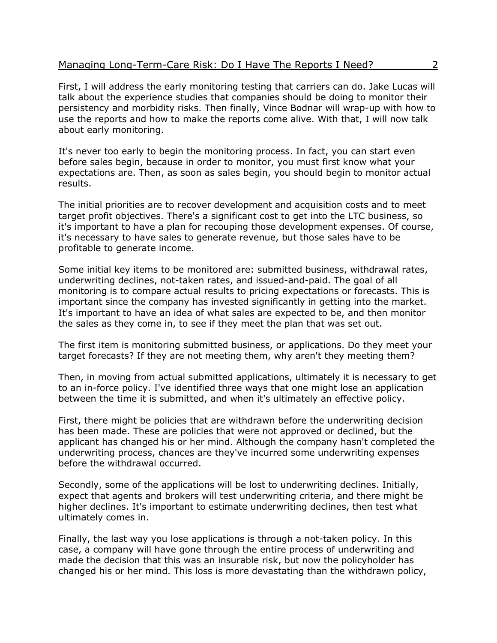First, I will address the early monitoring testing that carriers can do. Jake Lucas will talk about the experience studies that companies should be doing to monitor their persistency and morbidity risks. Then finally, Vince Bodnar will wrap-up with how to use the reports and how to make the reports come alive. With that, I will now talk about early monitoring.

It's never too early to begin the monitoring process. In fact, you can start even before sales begin, because in order to monitor, you must first know what your expectations are. Then, as soon as sales begin, you should begin to monitor actual results.

The initial priorities are to recover development and acquisition costs and to meet target profit objectives. There's a significant cost to get into the LTC business, so it's important to have a plan for recouping those development expenses. Of course, it's necessary to have sales to generate revenue, but those sales have to be profitable to generate income.

Some initial key items to be monitored are: submitted business, withdrawal rates, underwriting declines, not-taken rates, and issued-and-paid. The goal of all monitoring is to compare actual results to pricing expectations or forecasts. This is important since the company has invested significantly in getting into the market. It's important to have an idea of what sales are expected to be, and then monitor the sales as they come in, to see if they meet the plan that was set out.

The first item is monitoring submitted business, or applications. Do they meet your target forecasts? If they are not meeting them, why aren't they meeting them?

Then, in moving from actual submitted applications, ultimately it is necessary to get to an in-force policy. I've identified three ways that one might lose an application between the time it is submitted, and when it's ultimately an effective policy.

First, there might be policies that are withdrawn before the underwriting decision has been made. These are policies that were not approved or declined, but the applicant has changed his or her mind. Although the company hasn't completed the underwriting process, chances are they've incurred some underwriting expenses before the withdrawal occurred.

Secondly, some of the applications will be lost to underwriting declines. Initially, expect that agents and brokers will test underwriting criteria, and there might be higher declines. It's important to estimate underwriting declines, then test what ultimately comes in.

Finally, the last way you lose applications is through a not-taken policy. In this case, a company will have gone through the entire process of underwriting and made the decision that this was an insurable risk, but now the policyholder has changed his or her mind. This loss is more devastating than the withdrawn policy,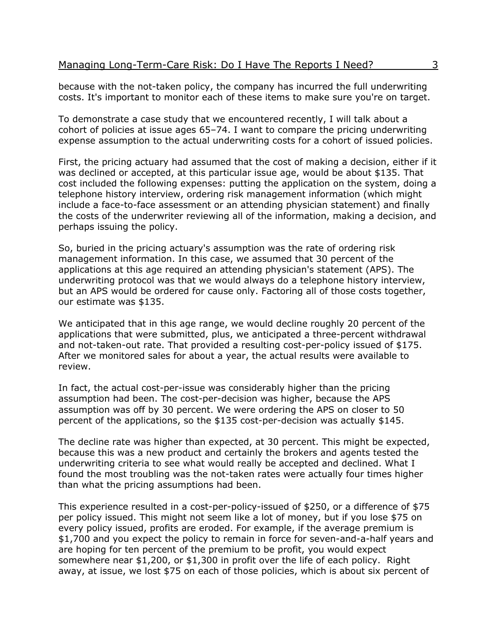because with the not-taken policy, the company has incurred the full underwriting costs. It's important to monitor each of these items to make sure you're on target.

To demonstrate a case study that we encountered recently, I will talk about a cohort of policies at issue ages 65–74. I want to compare the pricing underwriting expense assumption to the actual underwriting costs for a cohort of issued policies.

First, the pricing actuary had assumed that the cost of making a decision, either if it was declined or accepted, at this particular issue age, would be about \$135. That cost included the following expenses: putting the application on the system, doing a telephone history interview, ordering risk management information (which might include a face-to-face assessment or an attending physician statement) and finally the costs of the underwriter reviewing all of the information, making a decision, and perhaps issuing the policy.

So, buried in the pricing actuary's assumption was the rate of ordering risk management information. In this case, we assumed that 30 percent of the applications at this age required an attending physician's statement (APS). The underwriting protocol was that we would always do a telephone history interview, but an APS would be ordered for cause only. Factoring all of those costs together, our estimate was \$135.

We anticipated that in this age range, we would decline roughly 20 percent of the applications that were submitted, plus, we anticipated a three-percent withdrawal and not-taken-out rate. That provided a resulting cost-per-policy issued of \$175. After we monitored sales for about a year, the actual results were available to review.

In fact, the actual cost-per-issue was considerably higher than the pricing assumption had been. The cost-per-decision was higher, because the APS assumption was off by 30 percent. We were ordering the APS on closer to 50 percent of the applications, so the \$135 cost-per-decision was actually \$145.

The decline rate was higher than expected, at 30 percent. This might be expected, because this was a new product and certainly the brokers and agents tested the underwriting criteria to see what would really be accepted and declined. What I found the most troubling was the not-taken rates were actually four times higher than what the pricing assumptions had been.

This experience resulted in a cost-per-policy-issued of \$250, or a difference of \$75 per policy issued. This might not seem like a lot of money, but if you lose \$75 on every policy issued, profits are eroded. For example, if the average premium is \$1,700 and you expect the policy to remain in force for seven-and-a-half years and are hoping for ten percent of the premium to be profit, you would expect somewhere near \$1,200, or \$1,300 in profit over the life of each policy. Right away, at issue, we lost \$75 on each of those policies, which is about six percent of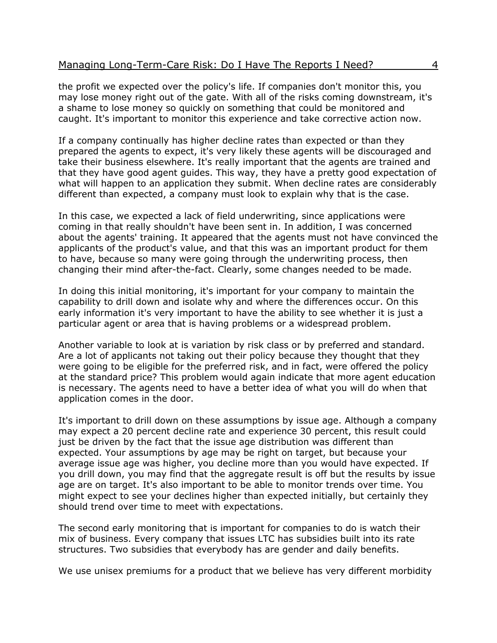the profit we expected over the policy's life. If companies don't monitor this, you may lose money right out of the gate. With all of the risks coming downstream, it's a shame to lose money so quickly on something that could be monitored and caught. It's important to monitor this experience and take corrective action now.

If a company continually has higher decline rates than expected or than they prepared the agents to expect, it's very likely these agents will be discouraged and take their business elsewhere. It's really important that the agents are trained and that they have good agent guides. This way, they have a pretty good expectation of what will happen to an application they submit. When decline rates are considerably different than expected, a company must look to explain why that is the case.

In this case, we expected a lack of field underwriting, since applications were coming in that really shouldn't have been sent in. In addition, I was concerned about the agents' training. It appeared that the agents must not have convinced the applicants of the product's value, and that this was an important product for them to have, because so many were going through the underwriting process, then changing their mind after-the-fact. Clearly, some changes needed to be made.

In doing this initial monitoring, it's important for your company to maintain the capability to drill down and isolate why and where the differences occur. On this early information it's very important to have the ability to see whether it is just a particular agent or area that is having problems or a widespread problem.

Another variable to look at is variation by risk class or by preferred and standard. Are a lot of applicants not taking out their policy because they thought that they were going to be eligible for the preferred risk, and in fact, were offered the policy at the standard price? This problem would again indicate that more agent education is necessary. The agents need to have a better idea of what you will do when that application comes in the door.

It's important to drill down on these assumptions by issue age. Although a company may expect a 20 percent decline rate and experience 30 percent, this result could just be driven by the fact that the issue age distribution was different than expected. Your assumptions by age may be right on target, but because your average issue age was higher, you decline more than you would have expected. If you drill down, you may find that the aggregate result is off but the results by issue age are on target. It's also important to be able to monitor trends over time. You might expect to see your declines higher than expected initially, but certainly they should trend over time to meet with expectations.

The second early monitoring that is important for companies to do is watch their mix of business. Every company that issues LTC has subsidies built into its rate structures. Two subsidies that everybody has are gender and daily benefits.

We use unisex premiums for a product that we believe has very different morbidity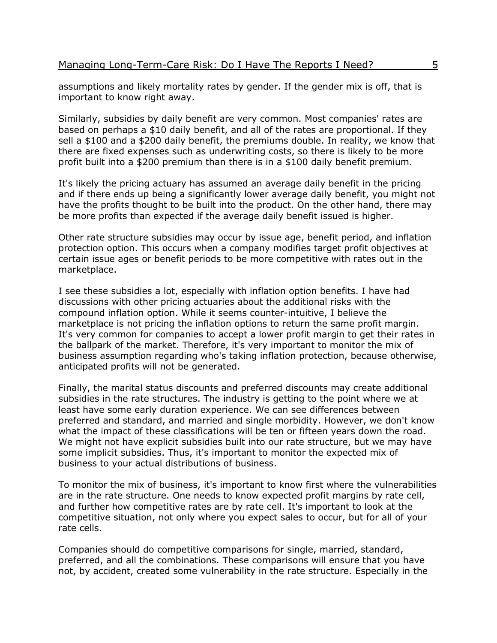assumptions and likely mortality rates by gender. If the gender mix is off, that is important to know right away.

Similarly, subsidies by daily benefit are very common. Most companies' rates are based on perhaps a \$10 daily benefit, and all of the rates are proportional. If they sell a \$100 and a \$200 daily benefit, the premiums double. In reality, we know that there are fixed expenses such as underwriting costs, so there is likely to be more profit built into a \$200 premium than there is in a \$100 daily benefit premium.

It's likely the pricing actuary has assumed an average daily benefit in the pricing and if there ends up being a significantly lower average daily benefit, you might not have the profits thought to be built into the product. On the other hand, there may be more profits than expected if the average daily benefit issued is higher.

Other rate structure subsidies may occur by issue age, benefit period, and inflation protection option. This occurs when a company modifies target profit objectives at certain issue ages or benefit periods to be more competitive with rates out in the marketplace.

I see these subsidies a lot, especially with inflation option benefits. I have had discussions with other pricing actuaries about the additional risks with the compound inflation option. While it seems counter-intuitive, I believe the marketplace is not pricing the inflation options to return the same profit margin. It's very common for companies to accept a lower profit margin to get their rates in the ballpark of the market. Therefore, it's very important to monitor the mix of business assumption regarding who's taking inflation protection, because otherwise, anticipated profits will not be generated.

Finally, the marital status discounts and preferred discounts may create additional subsidies in the rate structures. The industry is getting to the point where we at least have some early duration experience. We can see differences between preferred and standard, and married and single morbidity. However, we don't know what the impact of these classifications will be ten or fifteen years down the road. We might not have explicit subsidies built into our rate structure, but we may have some implicit subsidies. Thus, it's important to monitor the expected mix of business to your actual distributions of business.

To monitor the mix of business, it's important to know first where the vulnerabilities are in the rate structure. One needs to know expected profit margins by rate cell, and further how competitive rates are by rate cell. It's important to look at the competitive situation, not only where you expect sales to occur, but for all of your rate cells.

Companies should do competitive comparisons for single, married, standard, preferred, and all the combinations. These comparisons will ensure that you have not, by accident, created some vulnerability in the rate structure. Especially in the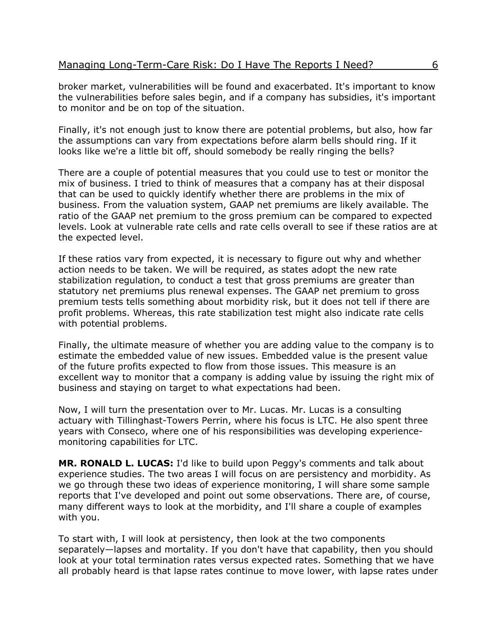broker market, vulnerabilities will be found and exacerbated. It's important to know the vulnerabilities before sales begin, and if a company has subsidies, it's important to monitor and be on top of the situation.

Finally, it's not enough just to know there are potential problems, but also, how far the assumptions can vary from expectations before alarm bells should ring. If it looks like we're a little bit off, should somebody be really ringing the bells?

There are a couple of potential measures that you could use to test or monitor the mix of business. I tried to think of measures that a company has at their disposal that can be used to quickly identify whether there are problems in the mix of business. From the valuation system, GAAP net premiums are likely available. The ratio of the GAAP net premium to the gross premium can be compared to expected levels. Look at vulnerable rate cells and rate cells overall to see if these ratios are at the expected level.

If these ratios vary from expected, it is necessary to figure out why and whether action needs to be taken. We will be required, as states adopt the new rate stabilization regulation, to conduct a test that gross premiums are greater than statutory net premiums plus renewal expenses. The GAAP net premium to gross premium tests tells something about morbidity risk, but it does not tell if there are profit problems. Whereas, this rate stabilization test might also indicate rate cells with potential problems.

Finally, the ultimate measure of whether you are adding value to the company is to estimate the embedded value of new issues. Embedded value is the present value of the future profits expected to flow from those issues. This measure is an excellent way to monitor that a company is adding value by issuing the right mix of business and staying on target to what expectations had been.

Now, I will turn the presentation over to Mr. Lucas. Mr. Lucas is a consulting actuary with Tillinghast-Towers Perrin, where his focus is LTC. He also spent three years with Conseco, where one of his responsibilities was developing experiencemonitoring capabilities for LTC.

**MR. RONALD L. LUCAS:** I'd like to build upon Peggy's comments and talk about experience studies. The two areas I will focus on are persistency and morbidity. As we go through these two ideas of experience monitoring, I will share some sample reports that I've developed and point out some observations. There are, of course, many different ways to look at the morbidity, and I'll share a couple of examples with you.

To start with, I will look at persistency, then look at the two components separately—lapses and mortality. If you don't have that capability, then you should look at your total termination rates versus expected rates. Something that we have all probably heard is that lapse rates continue to move lower, with lapse rates under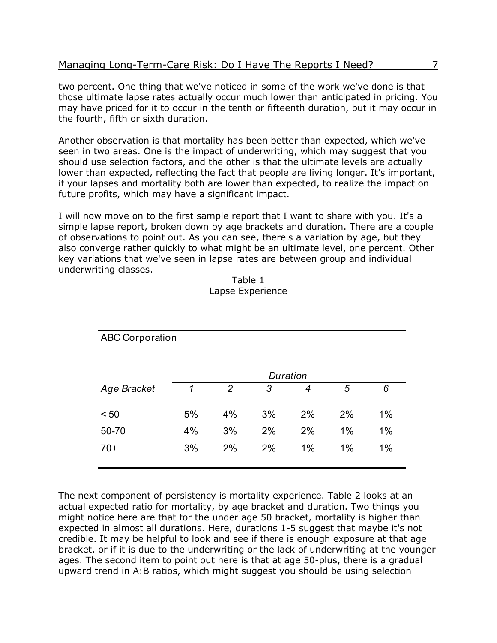two percent. One thing that we've noticed in some of the work we've done is that those ultimate lapse rates actually occur much lower than anticipated in pricing. You may have priced for it to occur in the tenth or fifteenth duration, but it may occur in the fourth, fifth or sixth duration.

Another observation is that mortality has been better than expected, which we've seen in two areas. One is the impact of underwriting, which may suggest that you should use selection factors, and the other is that the ultimate levels are actually lower than expected, reflecting the fact that people are living longer. It's important, if your lapses and mortality both are lower than expected, to realize the impact on future profits, which may have a significant impact.

I will now move on to the first sample report that I want to share with you. It's a simple lapse report, broken down by age brackets and duration. There are a couple of observations to point out. As you can see, there's a variation by age, but they also converge rather quickly to what might be an ultimate level, one percent. Other key variations that we've seen in lapse rates are between group and individual underwriting classes.

| <b>ABC Corporation</b> |    |                |    |          |    |       |
|------------------------|----|----------------|----|----------|----|-------|
|                        |    |                |    | Duration |    |       |
| Age Bracket            | 1  | $\overline{2}$ | 3  | 4        | 5  | 6     |
| < 50                   | 5% | 4%             | 3% | 2%       | 2% | 1%    |
| 50-70                  | 4% | 3%             | 2% | 2%       | 1% | $1\%$ |
| $70+$                  | 3% | 2%             | 2% | 1%       | 1% | 1%    |

Table 1 Lapse Experience

The next component of persistency is mortality experience. Table 2 looks at an actual expected ratio for mortality, by age bracket and duration. Two things you might notice here are that for the under age 50 bracket, mortality is higher than expected in almost all durations. Here, durations 1-5 suggest that maybe it's not credible. It may be helpful to look and see if there is enough exposure at that age bracket, or if it is due to the underwriting or the lack of underwriting at the younger ages. The second item to point out here is that at age 50-plus, there is a gradual upward trend in A:B ratios, which might suggest you should be using selection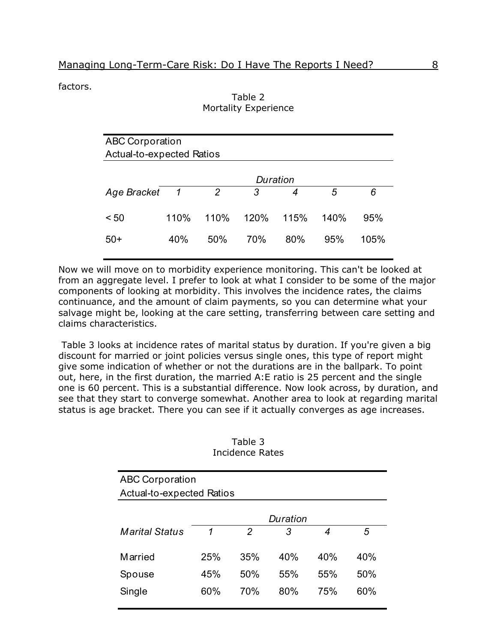factors.

|                                  |              |                | $\cdots$ |      |      |      |
|----------------------------------|--------------|----------------|----------|------|------|------|
| <b>ABC Corporation</b>           |              |                |          |      |      |      |
| <b>Actual-to-expected Ratios</b> |              |                |          |      |      |      |
|                                  |              |                | Duration |      |      |      |
| <b>Age Bracket</b>               | $\mathcal I$ | $\overline{2}$ | 3        | 4    | 5    | 6    |
| < 50                             | 110%         | 110%           | 120%     | 115% | 140% | 95%  |
| $50+$                            | 40%          | 50%            | 70%      | 80%  | 95%  | 105% |

### Table 2 Mortality Experience

Now we will move on to morbidity experience monitoring. This can't be looked at from an aggregate level. I prefer to look at what I consider to be some of the major components of looking at morbidity. This involves the incidence rates, the claims continuance, and the amount of claim payments, so you can determine what your salvage might be, looking at the care setting, transferring between care setting and claims characteristics.

 Table 3 looks at incidence rates of marital status by duration. If you're given a big discount for married or joint policies versus single ones, this type of report might give some indication of whether or not the durations are in the ballpark. To point out, here, in the first duration, the married A:E ratio is 25 percent and the single one is 60 percent. This is a substantial difference. Now look across, by duration, and see that they start to converge somewhat. Another area to look at regarding marital status is age bracket. There you can see if it actually converges as age increases.

| <b>ABC Corporation</b>           |     |     |          |     |     |  |  |
|----------------------------------|-----|-----|----------|-----|-----|--|--|
| <b>Actual-to-expected Ratios</b> |     |     |          |     |     |  |  |
|                                  |     |     |          |     |     |  |  |
|                                  |     |     | Duration |     |     |  |  |
| <b>Marital Status</b>            | 1   | 2   | 3        | 4   | 5   |  |  |
|                                  |     |     |          |     |     |  |  |
| Married                          | 25% | 35% | 40%      | 40% | 40% |  |  |
| Spouse                           | 45% | 50% | 55%      | 55% | 50% |  |  |
| Single                           | 60% | 70% | 80%      | 75% | 60% |  |  |
|                                  |     |     |          |     |     |  |  |

#### Table 3 Incidence Rates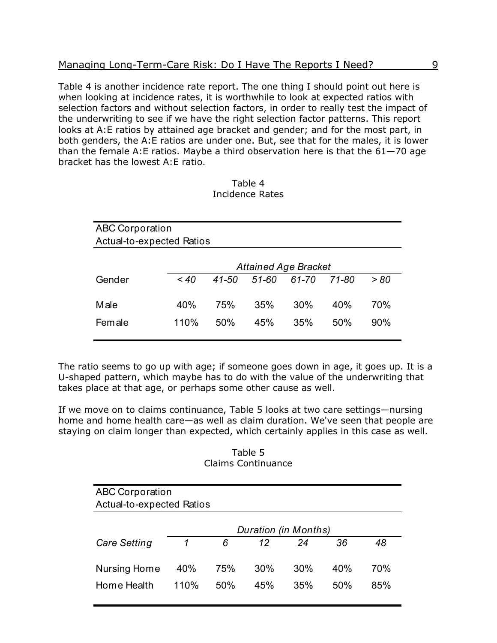Table 4 is another incidence rate report. The one thing I should point out here is when looking at incidence rates, it is worthwhile to look at expected ratios with selection factors and without selection factors, in order to really test the impact of the underwriting to see if we have the right selection factor patterns. This report looks at A:E ratios by attained age bracket and gender; and for the most part, in both genders, the A:E ratios are under one. But, see that for the males, it is lower than the female A:E ratios. Maybe a third observation here is that the  $61 - 70$  age bracket has the lowest A:E ratio.

| <b>ABC Corporation</b>           |         |       |           |                             |           |      |  |
|----------------------------------|---------|-------|-----------|-----------------------------|-----------|------|--|
| <b>Actual-to-expected Ratios</b> |         |       |           |                             |           |      |  |
|                                  |         |       |           |                             |           |      |  |
|                                  |         |       |           | <b>Attained Age Bracket</b> |           |      |  |
| Gender                           | $~<$ 40 | 41-50 | $51 - 60$ | 61-70                       | $71 - 80$ | > 80 |  |
|                                  |         |       |           |                             |           |      |  |
| Male                             | 40%     | 75%   | 35%       | 30%                         | 40%       | 70%  |  |
| Female                           | 110%    | 50%   | 45%       | 35%                         | 50%       | 90%  |  |
|                                  |         |       |           |                             |           |      |  |

| Table 4                |  |
|------------------------|--|
| <b>Incidence Rates</b> |  |

The ratio seems to go up with age; if someone goes down in age, it goes up. It is a U-shaped pattern, which maybe has to do with the value of the underwriting that takes place at that age, or perhaps some other cause as well.

If we move on to claims continuance, Table 5 looks at two care settings—nursing home and home health care—as well as claim duration. We've seen that people are staying on claim longer than expected, which certainly applies in this case as well.

Table 5 Claims Continuance

| <b>ABC Corporation</b><br><b>Actual-to-expected Ratios</b> |      |     |                      |     |     |     |
|------------------------------------------------------------|------|-----|----------------------|-----|-----|-----|
|                                                            |      |     | Duration (in Months) |     |     |     |
| <b>Care Setting</b>                                        | 1    | 6   | 12                   | 24  | 36  | 48  |
| Nursing Home                                               | 40%  | 75% | 30%                  | 30% | 40% | 70% |
| Home Health                                                | 110% | 50% | 45%                  | 35% | 50% | 85% |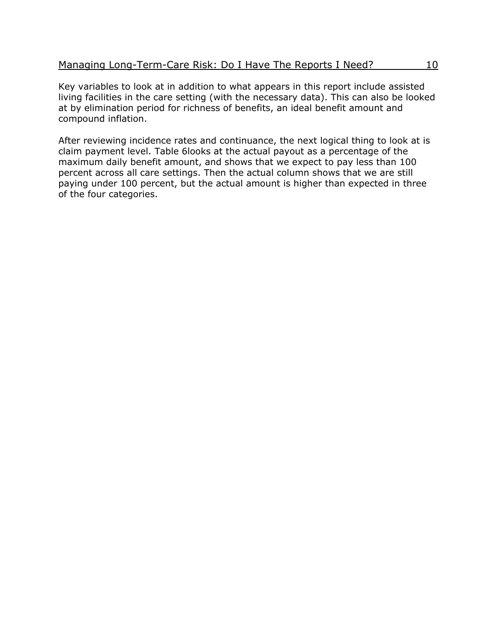Key variables to look at in addition to what appears in this report include assisted living facilities in the care setting (with the necessary data). This can also be looked at by elimination period for richness of benefits, an ideal benefit amount and compound inflation.

After reviewing incidence rates and continuance, the next logical thing to look at is claim payment level. Table 6looks at the actual payout as a percentage of the maximum daily benefit amount, and shows that we expect to pay less than 100 percent across all care settings. Then the actual column shows that we are still paying under 100 percent, but the actual amount is higher than expected in three of the four categories.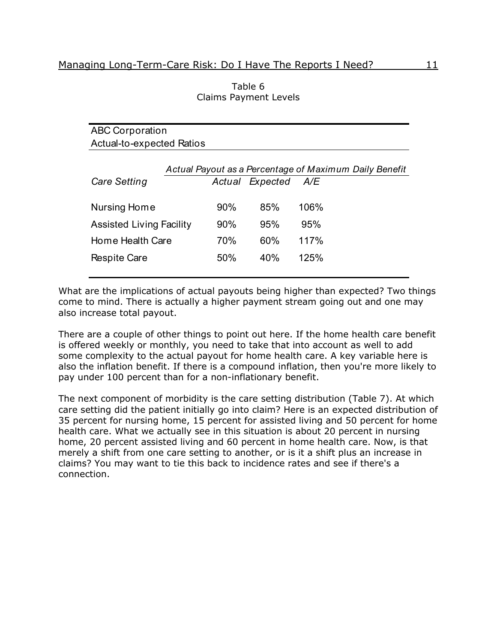| <b>ABC Corporation</b>          |     |                 |                                                        |  |  |  |  |
|---------------------------------|-----|-----------------|--------------------------------------------------------|--|--|--|--|
| Actual-to-expected Ratios       |     |                 |                                                        |  |  |  |  |
|                                 |     |                 |                                                        |  |  |  |  |
|                                 |     |                 | Actual Payout as a Percentage of Maximum Daily Benefit |  |  |  |  |
| <b>Care Setting</b>             |     | Actual Expected | A/E                                                    |  |  |  |  |
|                                 |     |                 |                                                        |  |  |  |  |
| Nursing Home                    | 90% | 85%             | 106%                                                   |  |  |  |  |
| <b>Assisted Living Facility</b> | 90% | 95%             | 95%                                                    |  |  |  |  |
|                                 |     |                 |                                                        |  |  |  |  |
| Home Health Care                | 70% | 60%             | 117%                                                   |  |  |  |  |
| <b>Respite Care</b>             | 50% | 40%             | 125%                                                   |  |  |  |  |
|                                 |     |                 |                                                        |  |  |  |  |
|                                 |     |                 |                                                        |  |  |  |  |

| Table 6                      |  |
|------------------------------|--|
| <b>Claims Payment Levels</b> |  |

What are the implications of actual payouts being higher than expected? Two things come to mind. There is actually a higher payment stream going out and one may also increase total payout.

There are a couple of other things to point out here. If the home health care benefit is offered weekly or monthly, you need to take that into account as well to add some complexity to the actual payout for home health care. A key variable here is also the inflation benefit. If there is a compound inflation, then you're more likely to pay under 100 percent than for a non-inflationary benefit.

The next component of morbidity is the care setting distribution (Table 7). At which care setting did the patient initially go into claim? Here is an expected distribution of 35 percent for nursing home, 15 percent for assisted living and 50 percent for home health care. What we actually see in this situation is about 20 percent in nursing home, 20 percent assisted living and 60 percent in home health care. Now, is that merely a shift from one care setting to another, or is it a shift plus an increase in claims? You may want to tie this back to incidence rates and see if there's a connection.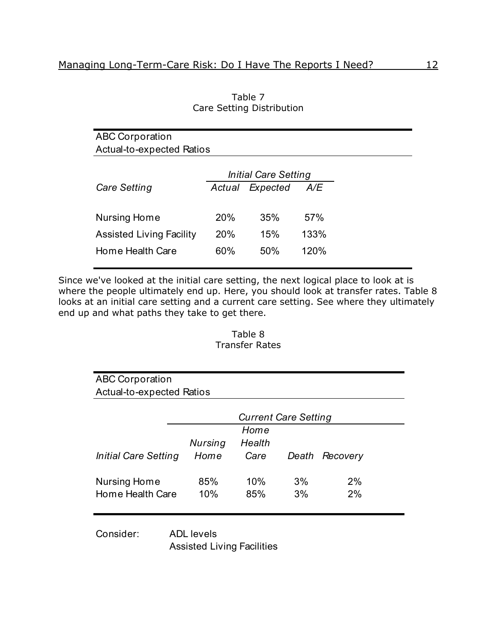| <b>ABC Corporation</b>           |        |                             |      |
|----------------------------------|--------|-----------------------------|------|
| <b>Actual-to-expected Ratios</b> |        |                             |      |
|                                  |        | <b>Initial Care Setting</b> |      |
| <b>Care Setting</b>              | Actual | Expected                    | A/E  |
| Nursing Home                     | 20%    | 35%                         | 57%  |
| <b>Assisted Living Facility</b>  | 20%    | 15%                         | 133% |
| Home Health Care                 | 60%    | 50%                         | 120% |

Table 7 Care Setting Distribution

Since we've looked at the initial care setting, the next logical place to look at is where the people ultimately end up. Here, you should look at transfer rates. Table 8 looks at an initial care setting and a current care setting. See where they ultimately end up and what paths they take to get there.

#### Table 8 Transfer Rates

| <b>ABC Corporation</b>           |         |                             |       |          |
|----------------------------------|---------|-----------------------------|-------|----------|
| <b>Actual-to-expected Ratios</b> |         |                             |       |          |
|                                  |         | <b>Current Care Setting</b> |       |          |
|                                  |         | Home                        |       |          |
|                                  | Nursing | Health                      |       |          |
| Initial Care Setting             | Home    | Care                        | Death | Recovery |
| Nursing Home                     | 85%     | 10%                         | 3%    | 2%       |
| Home Health Care                 | 10%     | 85%                         | 3%    | 2%       |
|                                  |         |                             |       |          |

Consider: ADL levels Assisted Living Facilities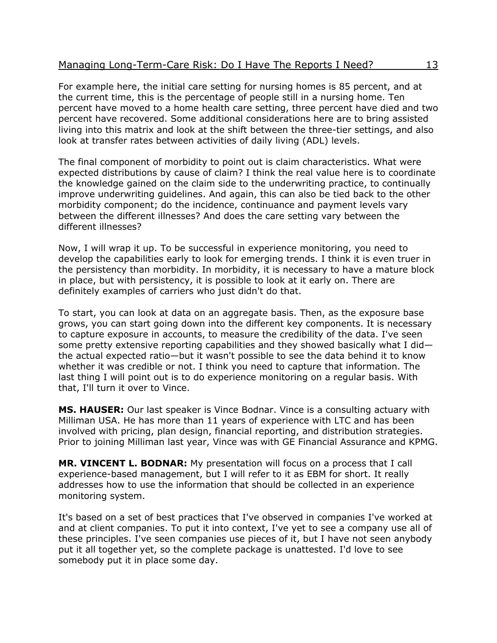#### Managing Long-Term-Care Risk: Do I Have The Reports I Need? 13

For example here, the initial care setting for nursing homes is 85 percent, and at the current time, this is the percentage of people still in a nursing home. Ten percent have moved to a home health care setting, three percent have died and two percent have recovered. Some additional considerations here are to bring assisted living into this matrix and look at the shift between the three-tier settings, and also look at transfer rates between activities of daily living (ADL) levels.

The final component of morbidity to point out is claim characteristics. What were expected distributions by cause of claim? I think the real value here is to coordinate the knowledge gained on the claim side to the underwriting practice, to continually improve underwriting guidelines. And again, this can also be tied back to the other morbidity component; do the incidence, continuance and payment levels vary between the different illnesses? And does the care setting vary between the different illnesses?

Now, I will wrap it up. To be successful in experience monitoring, you need to develop the capabilities early to look for emerging trends. I think it is even truer in the persistency than morbidity. In morbidity, it is necessary to have a mature block in place, but with persistency, it is possible to look at it early on. There are definitely examples of carriers who just didn't do that.

To start, you can look at data on an aggregate basis. Then, as the exposure base grows, you can start going down into the different key components. It is necessary to capture exposure in accounts, to measure the credibility of the data. I've seen some pretty extensive reporting capabilities and they showed basically what I didthe actual expected ratio—but it wasn't possible to see the data behind it to know whether it was credible or not. I think you need to capture that information. The last thing I will point out is to do experience monitoring on a regular basis. With that, I'll turn it over to Vince.

**MS. HAUSER:** Our last speaker is Vince Bodnar. Vince is a consulting actuary with Milliman USA. He has more than 11 years of experience with LTC and has been involved with pricing, plan design, financial reporting, and distribution strategies. Prior to joining Milliman last year, Vince was with GE Financial Assurance and KPMG.

**MR. VINCENT L. BODNAR:** My presentation will focus on a process that I call experience-based management, but I will refer to it as EBM for short. It really addresses how to use the information that should be collected in an experience monitoring system.

It's based on a set of best practices that I've observed in companies I've worked at and at client companies. To put it into context, I've yet to see a company use all of these principles. I've seen companies use pieces of it, but I have not seen anybody put it all together yet, so the complete package is unattested. I'd love to see somebody put it in place some day.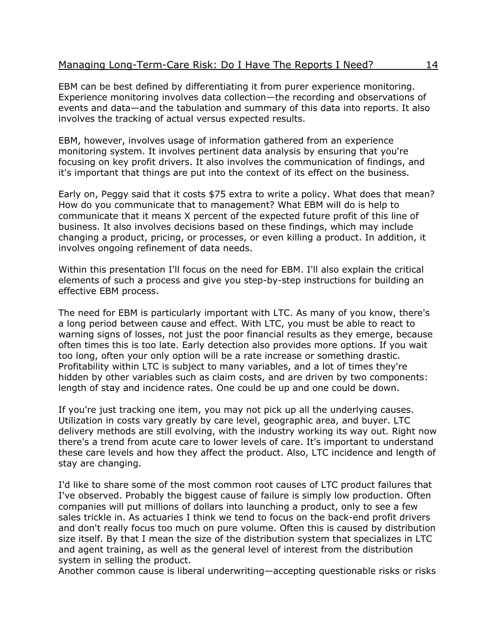EBM can be best defined by differentiating it from purer experience monitoring. Experience monitoring involves data collection—the recording and observations of events and data—and the tabulation and summary of this data into reports. It also involves the tracking of actual versus expected results.

EBM, however, involves usage of information gathered from an experience monitoring system. It involves pertinent data analysis by ensuring that you're focusing on key profit drivers. It also involves the communication of findings, and it's important that things are put into the context of its effect on the business.

Early on, Peggy said that it costs \$75 extra to write a policy. What does that mean? How do you communicate that to management? What EBM will do is help to communicate that it means X percent of the expected future profit of this line of business. It also involves decisions based on these findings, which may include changing a product, pricing, or processes, or even killing a product. In addition, it involves ongoing refinement of data needs.

Within this presentation I'll focus on the need for EBM. I'll also explain the critical elements of such a process and give you step-by-step instructions for building an effective EBM process.

The need for EBM is particularly important with LTC. As many of you know, there's a long period between cause and effect. With LTC, you must be able to react to warning signs of losses, not just the poor financial results as they emerge, because often times this is too late. Early detection also provides more options. If you wait too long, often your only option will be a rate increase or something drastic. Profitability within LTC is subject to many variables, and a lot of times they're hidden by other variables such as claim costs, and are driven by two components: length of stay and incidence rates. One could be up and one could be down.

If you're just tracking one item, you may not pick up all the underlying causes. Utilization in costs vary greatly by care level, geographic area, and buyer. LTC delivery methods are still evolving, with the industry working its way out. Right now there's a trend from acute care to lower levels of care. It's important to understand these care levels and how they affect the product. Also, LTC incidence and length of stay are changing.

I'd like to share some of the most common root causes of LTC product failures that I've observed. Probably the biggest cause of failure is simply low production. Often companies will put millions of dollars into launching a product, only to see a few sales trickle in. As actuaries I think we tend to focus on the back-end profit drivers and don't really focus too much on pure volume. Often this is caused by distribution size itself. By that I mean the size of the distribution system that specializes in LTC and agent training, as well as the general level of interest from the distribution system in selling the product.

Another common cause is liberal underwriting—accepting questionable risks or risks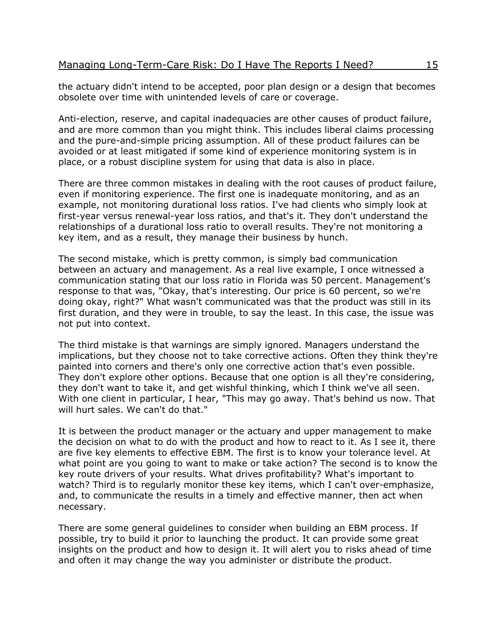the actuary didn't intend to be accepted, poor plan design or a design that becomes obsolete over time with unintended levels of care or coverage.

Anti-election, reserve, and capital inadequacies are other causes of product failure, and are more common than you might think. This includes liberal claims processing and the pure-and-simple pricing assumption. All of these product failures can be avoided or at least mitigated if some kind of experience monitoring system is in place, or a robust discipline system for using that data is also in place.

There are three common mistakes in dealing with the root causes of product failure, even if monitoring experience. The first one is inadequate monitoring, and as an example, not monitoring durational loss ratios. I've had clients who simply look at first-year versus renewal-year loss ratios, and that's it. They don't understand the relationships of a durational loss ratio to overall results. They're not monitoring a key item, and as a result, they manage their business by hunch.

The second mistake, which is pretty common, is simply bad communication between an actuary and management. As a real live example, I once witnessed a communication stating that our loss ratio in Florida was 50 percent. Management's response to that was, "Okay, that's interesting. Our price is 60 percent, so we're doing okay, right?" What wasn't communicated was that the product was still in its first duration, and they were in trouble, to say the least. In this case, the issue was not put into context.

The third mistake is that warnings are simply ignored. Managers understand the implications, but they choose not to take corrective actions. Often they think they're painted into corners and there's only one corrective action that's even possible. They don't explore other options. Because that one option is all they're considering, they don't want to take it, and get wishful thinking, which I think we've all seen. With one client in particular, I hear, "This may go away. That's behind us now. That will hurt sales. We can't do that."

It is between the product manager or the actuary and upper management to make the decision on what to do with the product and how to react to it. As I see it, there are five key elements to effective EBM. The first is to know your tolerance level. At what point are you going to want to make or take action? The second is to know the key route drivers of your results. What drives profitability? What's important to watch? Third is to regularly monitor these key items, which I can't over-emphasize, and, to communicate the results in a timely and effective manner, then act when necessary.

There are some general guidelines to consider when building an EBM process. If possible, try to build it prior to launching the product. It can provide some great insights on the product and how to design it. It will alert you to risks ahead of time and often it may change the way you administer or distribute the product.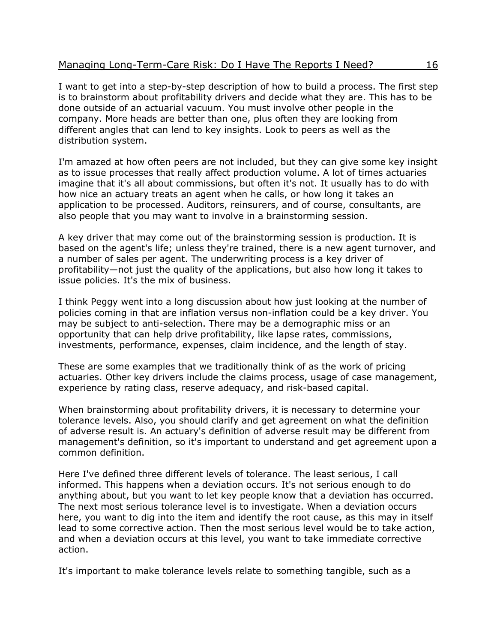I want to get into a step-by-step description of how to build a process. The first step is to brainstorm about profitability drivers and decide what they are. This has to be done outside of an actuarial vacuum. You must involve other people in the company. More heads are better than one, plus often they are looking from different angles that can lend to key insights. Look to peers as well as the distribution system.

I'm amazed at how often peers are not included, but they can give some key insight as to issue processes that really affect production volume. A lot of times actuaries imagine that it's all about commissions, but often it's not. It usually has to do with how nice an actuary treats an agent when he calls, or how long it takes an application to be processed. Auditors, reinsurers, and of course, consultants, are also people that you may want to involve in a brainstorming session.

A key driver that may come out of the brainstorming session is production. It is based on the agent's life; unless they're trained, there is a new agent turnover, and a number of sales per agent. The underwriting process is a key driver of profitability—not just the quality of the applications, but also how long it takes to issue policies. It's the mix of business.

I think Peggy went into a long discussion about how just looking at the number of policies coming in that are inflation versus non-inflation could be a key driver. You may be subject to anti-selection. There may be a demographic miss or an opportunity that can help drive profitability, like lapse rates, commissions, investments, performance, expenses, claim incidence, and the length of stay.

These are some examples that we traditionally think of as the work of pricing actuaries. Other key drivers include the claims process, usage of case management, experience by rating class, reserve adequacy, and risk-based capital.

When brainstorming about profitability drivers, it is necessary to determine your tolerance levels. Also, you should clarify and get agreement on what the definition of adverse result is. An actuary's definition of adverse result may be different from management's definition, so it's important to understand and get agreement upon a common definition.

Here I've defined three different levels of tolerance. The least serious, I call informed. This happens when a deviation occurs. It's not serious enough to do anything about, but you want to let key people know that a deviation has occurred. The next most serious tolerance level is to investigate. When a deviation occurs here, you want to dig into the item and identify the root cause, as this may in itself lead to some corrective action. Then the most serious level would be to take action, and when a deviation occurs at this level, you want to take immediate corrective action.

It's important to make tolerance levels relate to something tangible, such as a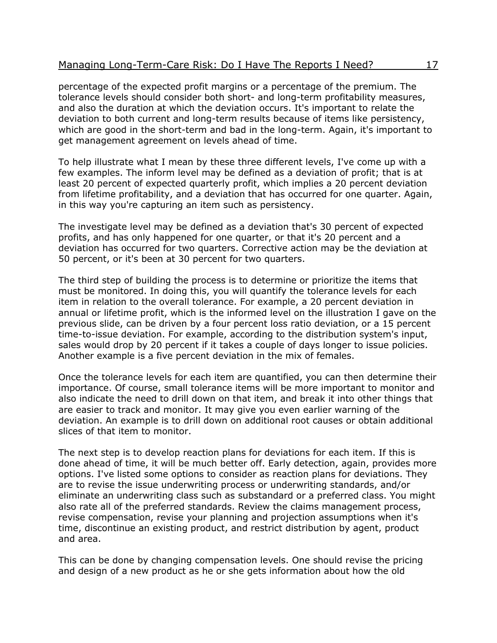percentage of the expected profit margins or a percentage of the premium. The tolerance levels should consider both short- and long-term profitability measures, and also the duration at which the deviation occurs. It's important to relate the deviation to both current and long-term results because of items like persistency, which are good in the short-term and bad in the long-term. Again, it's important to get management agreement on levels ahead of time.

To help illustrate what I mean by these three different levels, I've come up with a few examples. The inform level may be defined as a deviation of profit; that is at least 20 percent of expected quarterly profit, which implies a 20 percent deviation from lifetime profitability, and a deviation that has occurred for one quarter. Again, in this way you're capturing an item such as persistency.

The investigate level may be defined as a deviation that's 30 percent of expected profits, and has only happened for one quarter, or that it's 20 percent and a deviation has occurred for two quarters. Corrective action may be the deviation at 50 percent, or it's been at 30 percent for two quarters.

The third step of building the process is to determine or prioritize the items that must be monitored. In doing this, you will quantify the tolerance levels for each item in relation to the overall tolerance. For example, a 20 percent deviation in annual or lifetime profit, which is the informed level on the illustration I gave on the previous slide, can be driven by a four percent loss ratio deviation, or a 15 percent time-to-issue deviation. For example, according to the distribution system's input, sales would drop by 20 percent if it takes a couple of days longer to issue policies. Another example is a five percent deviation in the mix of females.

Once the tolerance levels for each item are quantified, you can then determine their importance. Of course, small tolerance items will be more important to monitor and also indicate the need to drill down on that item, and break it into other things that are easier to track and monitor. It may give you even earlier warning of the deviation. An example is to drill down on additional root causes or obtain additional slices of that item to monitor.

The next step is to develop reaction plans for deviations for each item. If this is done ahead of time, it will be much better off. Early detection, again, provides more options. I've listed some options to consider as reaction plans for deviations. They are to revise the issue underwriting process or underwriting standards, and/or eliminate an underwriting class such as substandard or a preferred class. You might also rate all of the preferred standards. Review the claims management process, revise compensation, revise your planning and projection assumptions when it's time, discontinue an existing product, and restrict distribution by agent, product and area.

This can be done by changing compensation levels. One should revise the pricing and design of a new product as he or she gets information about how the old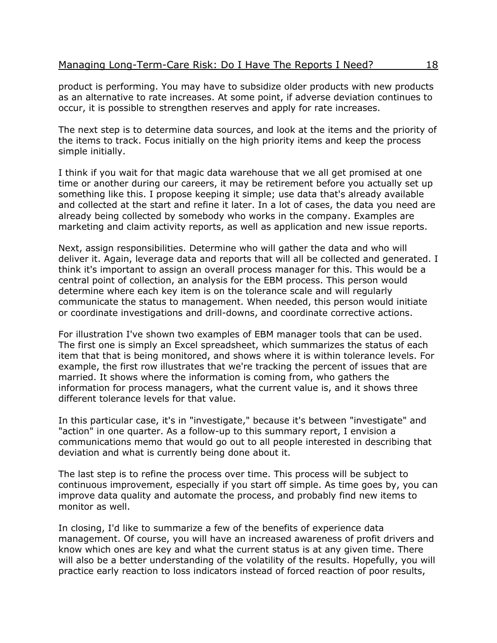product is performing. You may have to subsidize older products with new products as an alternative to rate increases. At some point, if adverse deviation continues to occur, it is possible to strengthen reserves and apply for rate increases.

The next step is to determine data sources, and look at the items and the priority of the items to track. Focus initially on the high priority items and keep the process simple initially.

I think if you wait for that magic data warehouse that we all get promised at one time or another during our careers, it may be retirement before you actually set up something like this. I propose keeping it simple; use data that's already available and collected at the start and refine it later. In a lot of cases, the data you need are already being collected by somebody who works in the company. Examples are marketing and claim activity reports, as well as application and new issue reports.

Next, assign responsibilities. Determine who will gather the data and who will deliver it. Again, leverage data and reports that will all be collected and generated. I think it's important to assign an overall process manager for this. This would be a central point of collection, an analysis for the EBM process. This person would determine where each key item is on the tolerance scale and will regularly communicate the status to management. When needed, this person would initiate or coordinate investigations and drill-downs, and coordinate corrective actions.

For illustration I've shown two examples of EBM manager tools that can be used. The first one is simply an Excel spreadsheet, which summarizes the status of each item that that is being monitored, and shows where it is within tolerance levels. For example, the first row illustrates that we're tracking the percent of issues that are married. It shows where the information is coming from, who gathers the information for process managers, what the current value is, and it shows three different tolerance levels for that value.

In this particular case, it's in "investigate," because it's between "investigate" and "action" in one quarter. As a follow-up to this summary report, I envision a communications memo that would go out to all people interested in describing that deviation and what is currently being done about it.

The last step is to refine the process over time. This process will be subject to continuous improvement, especially if you start off simple. As time goes by, you can improve data quality and automate the process, and probably find new items to monitor as well.

In closing, I'd like to summarize a few of the benefits of experience data management. Of course, you will have an increased awareness of profit drivers and know which ones are key and what the current status is at any given time. There will also be a better understanding of the volatility of the results. Hopefully, you will practice early reaction to loss indicators instead of forced reaction of poor results,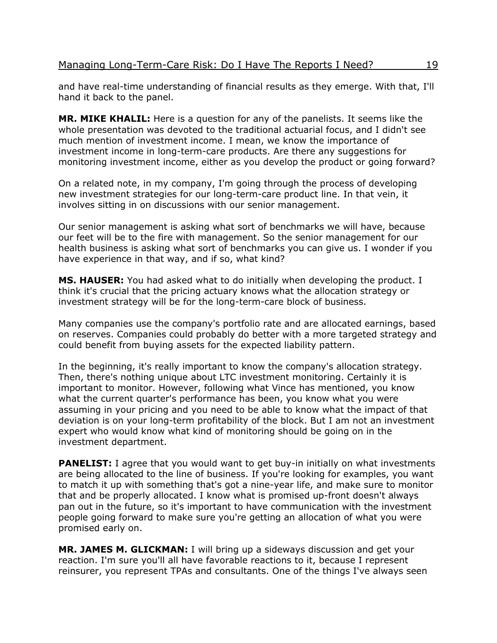and have real-time understanding of financial results as they emerge. With that, I'll hand it back to the panel.

**MR. MIKE KHALIL:** Here is a question for any of the panelists. It seems like the whole presentation was devoted to the traditional actuarial focus, and I didn't see much mention of investment income. I mean, we know the importance of investment income in long-term-care products. Are there any suggestions for monitoring investment income, either as you develop the product or going forward?

On a related note, in my company, I'm going through the process of developing new investment strategies for our long-term-care product line. In that vein, it involves sitting in on discussions with our senior management.

Our senior management is asking what sort of benchmarks we will have, because our feet will be to the fire with management. So the senior management for our health business is asking what sort of benchmarks you can give us. I wonder if you have experience in that way, and if so, what kind?

**MS. HAUSER:** You had asked what to do initially when developing the product. I think it's crucial that the pricing actuary knows what the allocation strategy or investment strategy will be for the long-term-care block of business.

Many companies use the company's portfolio rate and are allocated earnings, based on reserves. Companies could probably do better with a more targeted strategy and could benefit from buying assets for the expected liability pattern.

In the beginning, it's really important to know the company's allocation strategy. Then, there's nothing unique about LTC investment monitoring. Certainly it is important to monitor. However, following what Vince has mentioned, you know what the current quarter's performance has been, you know what you were assuming in your pricing and you need to be able to know what the impact of that deviation is on your long-term profitability of the block. But I am not an investment expert who would know what kind of monitoring should be going on in the investment department.

**PANELIST:** I agree that you would want to get buy-in initially on what investments are being allocated to the line of business. If you're looking for examples, you want to match it up with something that's got a nine-year life, and make sure to monitor that and be properly allocated. I know what is promised up-front doesn't always pan out in the future, so it's important to have communication with the investment people going forward to make sure you're getting an allocation of what you were promised early on.

MR. JAMES M. GLICKMAN: I will bring up a sideways discussion and get your reaction. I'm sure you'll all have favorable reactions to it, because I represent reinsurer, you represent TPAs and consultants. One of the things I've always seen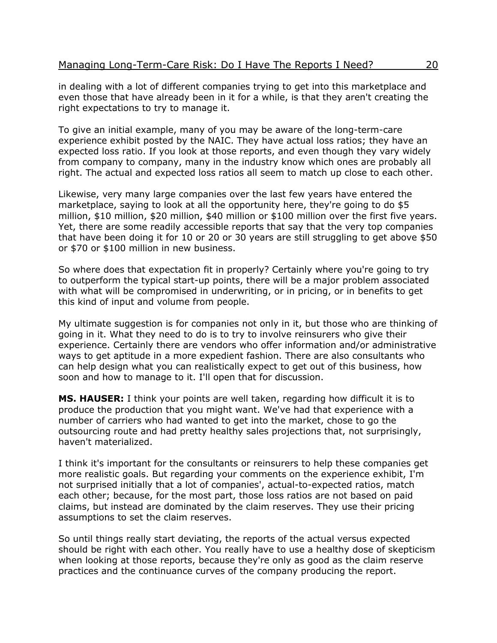in dealing with a lot of different companies trying to get into this marketplace and even those that have already been in it for a while, is that they aren't creating the right expectations to try to manage it.

To give an initial example, many of you may be aware of the long-term-care experience exhibit posted by the NAIC. They have actual loss ratios; they have an expected loss ratio. If you look at those reports, and even though they vary widely from company to company, many in the industry know which ones are probably all right. The actual and expected loss ratios all seem to match up close to each other.

Likewise, very many large companies over the last few years have entered the marketplace, saying to look at all the opportunity here, they're going to do \$5 million, \$10 million, \$20 million, \$40 million or \$100 million over the first five years. Yet, there are some readily accessible reports that say that the very top companies that have been doing it for 10 or 20 or 30 years are still struggling to get above \$50 or \$70 or \$100 million in new business.

So where does that expectation fit in properly? Certainly where you're going to try to outperform the typical start-up points, there will be a major problem associated with what will be compromised in underwriting, or in pricing, or in benefits to get this kind of input and volume from people.

My ultimate suggestion is for companies not only in it, but those who are thinking of going in it. What they need to do is to try to involve reinsurers who give their experience. Certainly there are vendors who offer information and/or administrative ways to get aptitude in a more expedient fashion. There are also consultants who can help design what you can realistically expect to get out of this business, how soon and how to manage to it. I'll open that for discussion.

**MS. HAUSER:** I think your points are well taken, regarding how difficult it is to produce the production that you might want. We've had that experience with a number of carriers who had wanted to get into the market, chose to go the outsourcing route and had pretty healthy sales projections that, not surprisingly, haven't materialized.

I think it's important for the consultants or reinsurers to help these companies get more realistic goals. But regarding your comments on the experience exhibit, I'm not surprised initially that a lot of companies', actual-to-expected ratios, match each other; because, for the most part, those loss ratios are not based on paid claims, but instead are dominated by the claim reserves. They use their pricing assumptions to set the claim reserves.

So until things really start deviating, the reports of the actual versus expected should be right with each other. You really have to use a healthy dose of skepticism when looking at those reports, because they're only as good as the claim reserve practices and the continuance curves of the company producing the report.